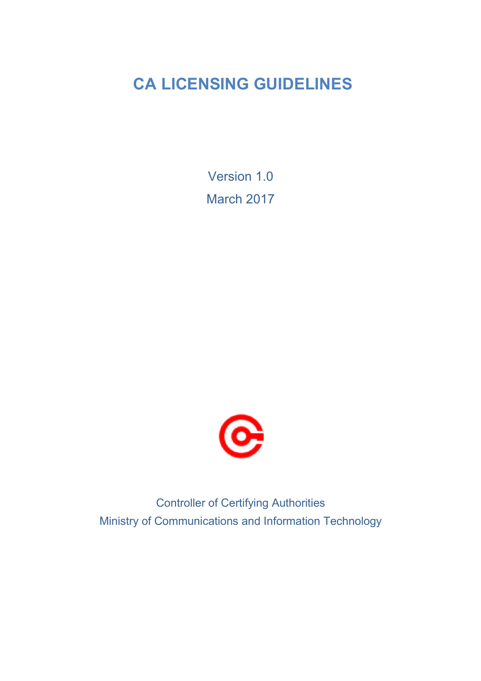# **CA LICENSING GUIDELINES**

Version 1.0 March 2017



Controller of Certifying Authorities Ministry of Communications and Information Technology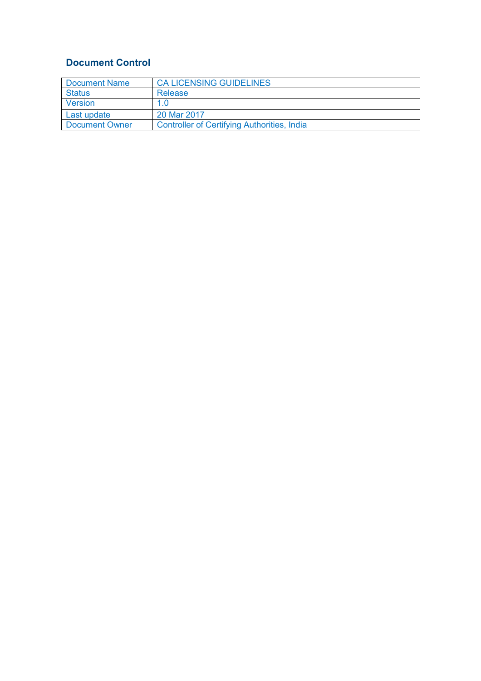# **Document Control**

| Document Name  | <b>CA LICENSING GUIDELINES</b>                     |
|----------------|----------------------------------------------------|
| <b>Status</b>  | Release                                            |
| Version        | 1.0                                                |
| Last update    | 20 Mar 2017                                        |
| Document Owner | <b>Controller of Certifying Authorities, India</b> |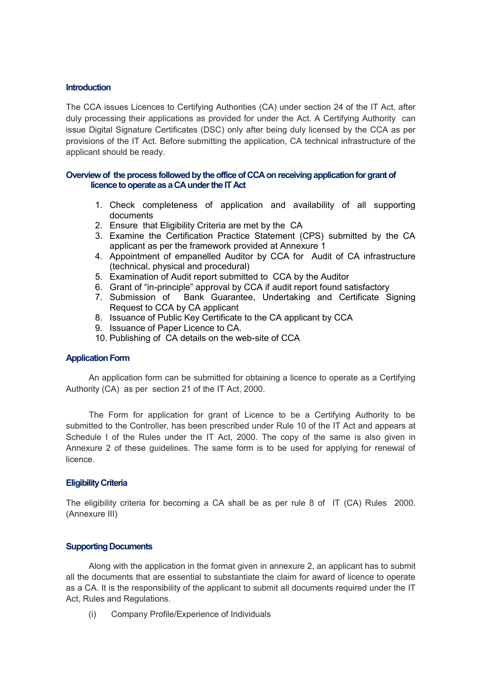#### **Introduction**

The CCA issues Licences to Certifying Authorities (CA) under section 24 of the IT Act, after duly processing their applications as provided for under the Act. A Certifying Authority can issue Digital Signature Certificates (DSC) only after being duly licensed by the CCA as per provisions of the IT Act. Before submitting the application, CA technical infrastructure of the applicant should be ready.

#### **Overview of the process followed by the office of CCA on receiving application for grant of licence to operate as a CA under the IT Act**

- 1. Check completeness of application and availability of all supporting documents
- 2. Ensure that Eligibility Criteria are met by the CA
- 3. Examine the Certification Practice Statement (CPS) submitted by the CA applicant as per the framework provided at Annexure 1
- 4. Appointment of empanelled Auditor by CCA for Audit of CA infrastructure (technical, physical and procedural)
- 5. Examination of Audit report submitted to CCA by the Auditor
- 6. Grant of "in-principle" approval by CCA if audit report found satisfactory
- 7. Submission of Bank Guarantee, Undertaking and Certificate Signing Request to CCA by CA applicant
- 8. Issuance of Public Key Certificate to the CA applicant by CCA
- 9. Issuance of Paper Licence to CA.
- 10. Publishing of CA details on the web-site of CCA

#### **Application Form**

An application form can be submitted for obtaining a licence to operate as a Certifying Authority (CA) as per section 21 of the IT Act, 2000.

The Form for application for grant of Licence to be a Certifying Authority to be submitted to the Controller, has been prescribed under Rule 10 of the IT Act and appears at Schedule I of the Rules under the IT Act, 2000. The copy of the same is also given in Annexure 2 of these guidelines. The same form is to be used for applying for renewal of licence.

#### **Eligibility Criteria**

The eligibility criteria for becoming a CA shall be as per rule 8 of IT (CA) Rules 2000. (Annexure III)

#### **Supporting Documents**

Along with the application in the format given in annexure 2, an applicant has to submit all the documents that are essential to substantiate the claim for award of licence to operate as a CA. It is the responsibility of the applicant to submit all documents required under the IT Act, Rules and Regulations.

(i) Company Profile/Experience of Individuals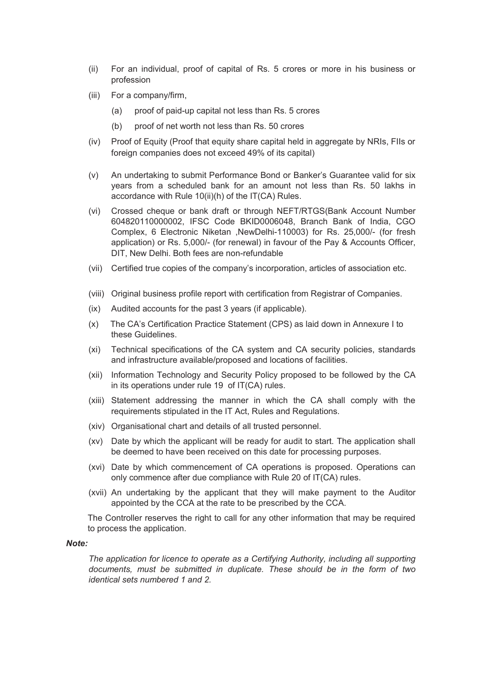- (ii) For an individual, proof of capital of Rs. 5 crores or more in his business or profession
- (iii) For a company/firm,
	- (a) proof of paid-up capital not less than Rs. 5 crores
	- (b) proof of net worth not less than Rs. 50 crores
- (iv) Proof of Equity (Proof that equity share capital held in aggregate by NRIs, FIIs or foreign companies does not exceed 49% of its capital)
- (v) An undertaking to submit Performance Bond or Banker's Guarantee valid for six years from a scheduled bank for an amount not less than Rs. 50 lakhs in accordance with Rule 10(ii)(h) of the IT(CA) Rules.
- (vi) Crossed cheque or bank draft or through NEFT/RTGS(Bank Account Number 604820110000002, IFSC Code BKID0006048, Branch Bank of India, CGO Complex, 6 Electronic Niketan ,NewDelhi-110003) for Rs. 25,000/- (for fresh application) or Rs. 5,000/- (for renewal) in favour of the Pay & Accounts Officer, DIT, New Delhi. Both fees are non-refundable
- (vii) Certified true copies of the company's incorporation, articles of association etc.
- (viii) Original business profile report with certification from Registrar of Companies.
- (ix) Audited accounts for the past 3 years (if applicable).
- (x) The CA's Certification Practice Statement (CPS) as laid down in Annexure I to these Guidelines.
- (xi) Technical specifications of the CA system and CA security policies, standards and infrastructure available/proposed and locations of facilities.
- (xii) Information Technology and Security Policy proposed to be followed by the CA in its operations under rule 19 of IT(CA) rules.
- (xiii) Statement addressing the manner in which the CA shall comply with the requirements stipulated in the IT Act, Rules and Regulations.
- (xiv) Organisational chart and details of all trusted personnel.
- (xv) Date by which the applicant will be ready for audit to start. The application shall be deemed to have been received on this date for processing purposes.
- (xvi) Date by which commencement of CA operations is proposed. Operations can only commence after due compliance with Rule 20 of IT(CA) rules.
- (xvii) An undertaking by the applicant that they will make payment to the Auditor appointed by the CCA at the rate to be prescribed by the CCA.

The Controller reserves the right to call for any other information that may be required to process the application.

#### *Note:*

*The application for licence to operate as a Certifying Authority, including all supporting documents, must be submitted in duplicate. These should be in the form of two identical sets numbered 1 and 2.*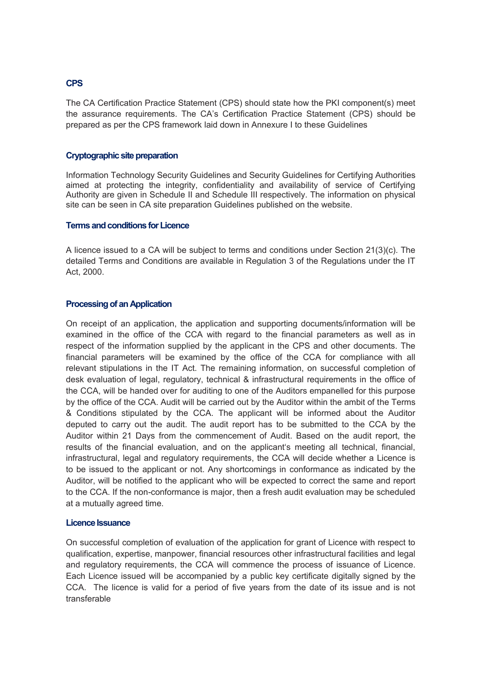#### **CPS**

The CA Certification Practice Statement (CPS) should state how the PKI component(s) meet the assurance requirements. The CA's Certification Practice Statement (CPS) should be prepared as per the CPS framework laid down in Annexure I to these Guidelines

#### **Cryptographic site preparation**

Information Technology Security Guidelines and Security Guidelines for Certifying Authorities aimed at protecting the integrity, confidentiality and availability of service of Certifying Authority are given in Schedule II and Schedule III respectively. The information on physical site can be seen in CA site preparation Guidelines published on the website.

# **Terms and conditions for Licence**

A licence issued to a CA will be subject to terms and conditions under Section 21(3)(c). The detailed Terms and Conditions are available in Regulation 3 of the Regulations under the IT Act, 2000.

#### **Processing of an Application**

On receipt of an application, the application and supporting documents/information will be examined in the office of the CCA with regard to the financial parameters as well as in respect of the information supplied by the applicant in the CPS and other documents. The financial parameters will be examined by the office of the CCA for compliance with all relevant stipulations in the IT Act. The remaining information, on successful completion of desk evaluation of legal, regulatory, technical & infrastructural requirements in the office of the CCA, will be handed over for auditing to one of the Auditors empanelled for this purpose by the office of the CCA. Audit will be carried out by the Auditor within the ambit of the Terms & Conditions stipulated by the CCA. The applicant will be informed about the Auditor deputed to carry out the audit. The audit report has to be submitted to the CCA by the Auditor within 21 Days from the commencement of Audit. Based on the audit report, the results of the financial evaluation, and on the applicant's meeting all technical, financial, infrastructural, legal and regulatory requirements, the CCA will decide whether a Licence is to be issued to the applicant or not. Any shortcomings in conformance as indicated by the Auditor, will be notified to the applicant who will be expected to correct the same and report to the CCA. If the non-conformance is major, then a fresh audit evaluation may be scheduled at a mutually agreed time.

#### **Licence Issuance**

On successful completion of evaluation of the application for grant of Licence with respect to qualification, expertise, manpower, financial resources other infrastructural facilities and legal and regulatory requirements, the CCA will commence the process of issuance of Licence. Each Licence issued will be accompanied by a public key certificate digitally signed by the CCA. The licence is valid for a period of five years from the date of its issue and is not transferable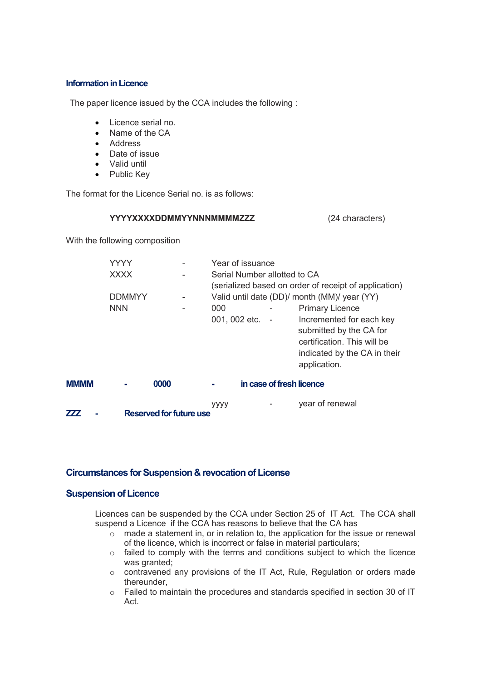#### **Information in Licence**

The paper licence issued by the CCA includes the following :

- Licence serial no.
- Name of the CA
- Address
- Date of issue
- Valid until
- Public Key

The format for the Licence Serial no. is as follows:

#### **YYYYXXXXDDMMYYNNNMMMMZZZ** (24 characters)

With the following composition

|      | YYYY                                   |  |  | Year of issuance                                                                                      |  |                              |                                                                               |
|------|----------------------------------------|--|--|-------------------------------------------------------------------------------------------------------|--|------------------------------|-------------------------------------------------------------------------------|
|      | <b>XXXX</b>                            |  |  |                                                                                                       |  | Serial Number allotted to CA |                                                                               |
|      | <b>DDMMYY</b>                          |  |  | (serialized based on order of receipt of application)<br>Valid until date (DD)/ month (MM)/ year (YY) |  |                              |                                                                               |
|      | <b>NNN</b>                             |  |  | 000<br>001, 002 etc. -                                                                                |  |                              | <b>Primary Licence</b><br>Incremented for each key<br>submitted by the CA for |
|      |                                        |  |  |                                                                                                       |  |                              | certification. This will be<br>indicated by the CA in their<br>application.   |
| MMMM | in case of fresh licence<br>0000<br>o. |  |  |                                                                                                       |  |                              |                                                                               |
|      |                                        |  |  | уууу                                                                                                  |  |                              | year of renewal                                                               |

**ZZZ - Reserved for future use**

# **Circumstances for Suspension & revocation of License**

# **Suspension of Licence**

Licences can be suspended by the CCA under Section 25 of IT Act. The CCA shall suspend a Licence if the CCA has reasons to believe that the CA has

- $\circ$  made a statement in, or in relation to, the application for the issue or renewal of the licence, which is incorrect or false in material particulars;
- o failed to comply with the terms and conditions subject to which the licence was granted;
- o contravened any provisions of the IT Act, Rule, Regulation or orders made thereunder,
- o Failed to maintain the procedures and standards specified in section 30 of IT Act.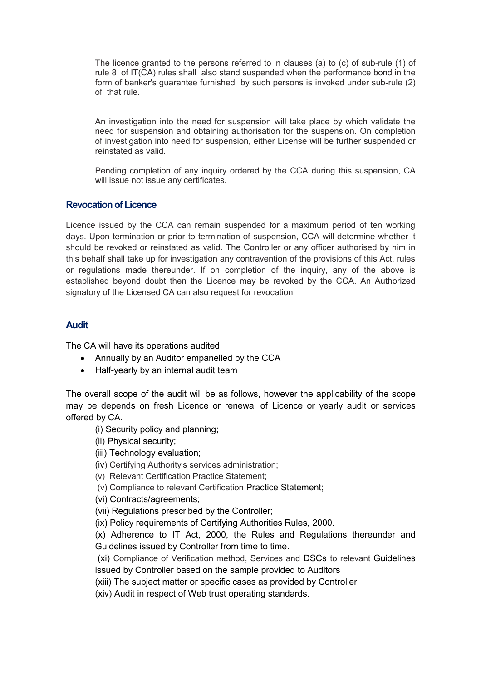The licence granted to the persons referred to in clauses (a) to (c) of sub-rule (1) of rule 8 of IT(CA) rules shall also stand suspended when the performance bond in the form of banker's guarantee furnished by such persons is invoked under sub-rule (2) of that rule.

An investigation into the need for suspension will take place by which validate the need for suspension and obtaining authorisation for the suspension. On completion of investigation into need for suspension, either License will be further suspended or reinstated as valid.

Pending completion of any inquiry ordered by the CCA during this suspension, CA will issue not issue any certificates.

# **Revocation of Licence**

Licence issued by the CCA can remain suspended for a maximum period of ten working days. Upon termination or prior to termination of suspension, CCA will determine whether it should be revoked or reinstated as valid. The Controller or any officer authorised by him in this behalf shall take up for investigation any contravention of the provisions of this Act, rules or regulations made thereunder. If on completion of the inquiry, any of the above is established beyond doubt then the Licence may be revoked by the CCA. An Authorized signatory of the Licensed CA can also request for revocation

# **Audit**

The CA will have its operations audited

- Annually by an Auditor empanelled by the CCA
- Half-yearly by an internal audit team

The overall scope of the audit will be as follows, however the applicability of the scope may be depends on fresh Licence or renewal of Licence or yearly audit or services offered by CA.

- (i) Security policy and planning;
- (ii) Physical security;
- (iii) Technology evaluation;
- (iv) Certifying Authority's services administration;
- (v) Relevant Certification Practice Statement;
- (v) Compliance to relevant Certification Practice Statement;
- (vi) Contracts/agreements;
- (vii) Regulations prescribed by the Controller;
- (ix) Policy requirements of Certifying Authorities Rules, 2000.

(x) Adherence to IT Act, 2000, the Rules and Regulations thereunder and Guidelines issued by Controller from time to time.

(xi) Compliance of Verification method, Services and DSCs to relevant Guidelines issued by Controller based on the sample provided to Auditors

(xiii) The subject matter or specific cases as provided by Controller

(xiv) Audit in respect of Web trust operating standards.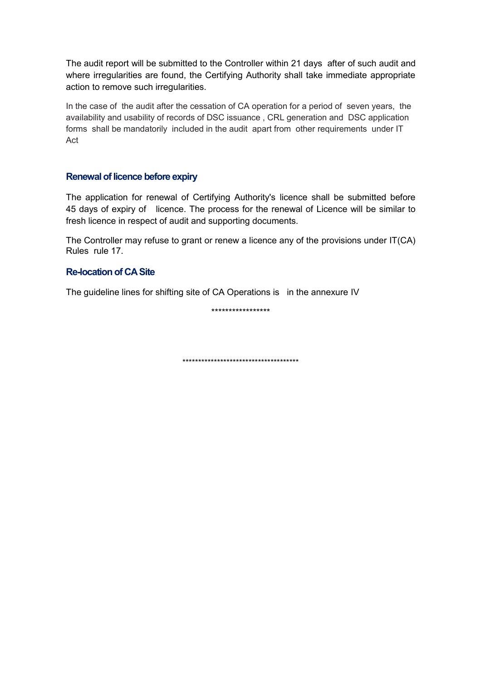The audit report will be submitted to the Controller within 21 days after of such audit and where irregularities are found, the Certifying Authority shall take immediate appropriate action to remove such irregularities.

In the case of the audit after the cessation of CA operation for a period of seven years, the availability and usability of records of DSC issuance , CRL generation and DSC application forms shall be mandatorily included in the audit apart from other requirements under IT Act

# **Renewal of licence before expiry**

The application for renewal of Certifying Authority's licence shall be submitted before 45 days of expiry of licence. The process for the renewal of Licence will be similar to fresh licence in respect of audit and supporting documents.

The Controller may refuse to grant or renew a licence any of the provisions under IT(CA) Rules rule 17.

# **Re-location of CA Site**

The guideline lines for shifting site of CA Operations is in the annexure IV

\*\*\*\*\*\*\*\*\*\*\*\*\*\*\*\*\*

\*\*\*\*\*\*\*\*\*\*\*\*\*\*\*\*\*\*\*\*\*\*\*\*\*\*\*\*\*\*\*\*\*\*\*\*\*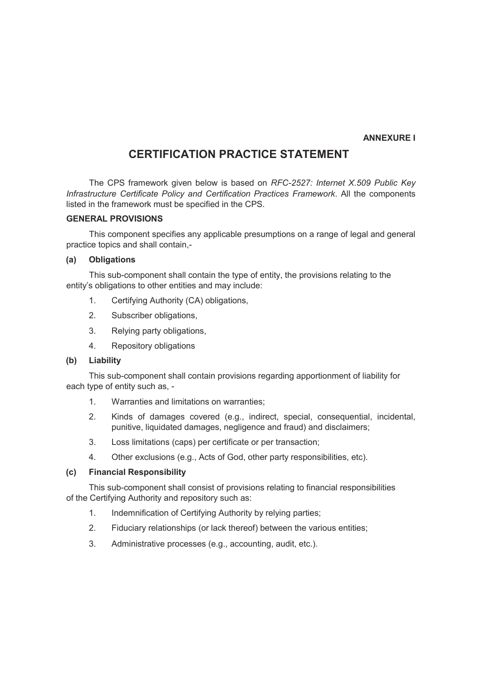#### **ANNEXURE I**

# **CERTIFICATION PRACTICE STATEMENT**

The CPS framework given below is based on *RFC-2527: Internet X.509 Public Key Infrastructure Certificate Policy and Certification Practices Framework*. All the components listed in the framework must be specified in the CPS.

# **GENERAL PROVISIONS**

This component specifies any applicable presumptions on a range of legal and general practice topics and shall contain,-

#### **(a) Obligations**

This sub-component shall contain the type of entity, the provisions relating to the entity's obligations to other entities and may include:

- 1. Certifying Authority (CA) obligations,
- 2. Subscriber obligations,
- 3. Relying party obligations,
- 4. Repository obligations

#### **(b) Liability**

This sub-component shall contain provisions regarding apportionment of liability for each type of entity such as, -

- 1. Warranties and limitations on warranties;
- 2. Kinds of damages covered (e.g., indirect, special, consequential, incidental, punitive, liquidated damages, negligence and fraud) and disclaimers;
- 3. Loss limitations (caps) per certificate or per transaction;
- 4. Other exclusions (e.g., Acts of God, other party responsibilities, etc).

#### **(c) Financial Responsibility**

This sub-component shall consist of provisions relating to financial responsibilities of the Certifying Authority and repository such as:

- 1. Indemnification of Certifying Authority by relying parties;
- 2. Fiduciary relationships (or lack thereof) between the various entities;
- 3. Administrative processes (e.g., accounting, audit, etc.).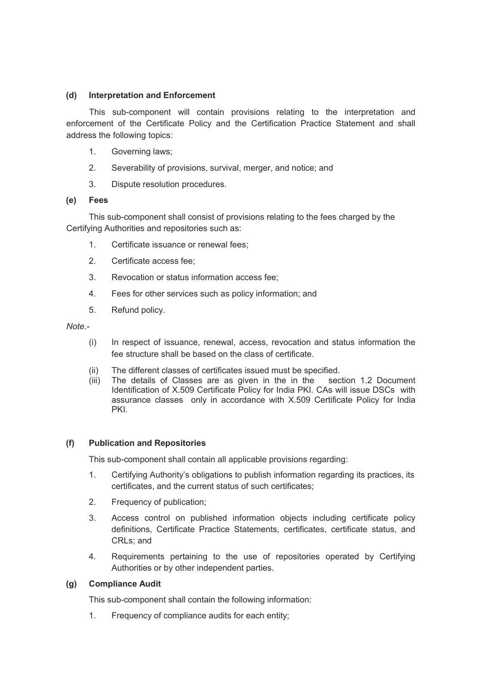# **(d) Interpretation and Enforcement**

This sub-component will contain provisions relating to the interpretation and enforcement of the Certificate Policy and the Certification Practice Statement and shall address the following topics:

- 1. Governing laws;
- 2. Severability of provisions, survival, merger, and notice; and
- 3. Dispute resolution procedures.

# **(e) Fees**

This sub-component shall consist of provisions relating to the fees charged by the Certifying Authorities and repositories such as:

- 1. Certificate issuance or renewal fees;
- 2. Certificate access fee;
- 3. Revocation or status information access fee;
- 4. Fees for other services such as policy information; and
- 5. Refund policy.

*Note.-*

- (i) In respect of issuance, renewal, access, revocation and status information the fee structure shall be based on the class of certificate.
- (ii) The different classes of certificates issued must be specified.
- (iii) The details of Classes are as given in the in the section 1.2 Document Identification of X.509 Certificate Policy for India PKI. CAs will issue DSCs with assurance classes only in accordance with X.509 Certificate Policy for India PKI.

#### **(f) Publication and Repositories**

This sub-component shall contain all applicable provisions regarding:

- 1. Certifying Authority's obligations to publish information regarding its practices, its certificates, and the current status of such certificates;
- 2. Frequency of publication;
- 3. Access control on published information objects including certificate policy definitions, Certificate Practice Statements, certificates, certificate status, and CRLs; and
- 4. Requirements pertaining to the use of repositories operated by Certifying Authorities or by other independent parties.

# **(g) Compliance Audit**

This sub-component shall contain the following information:

1. Frequency of compliance audits for each entity;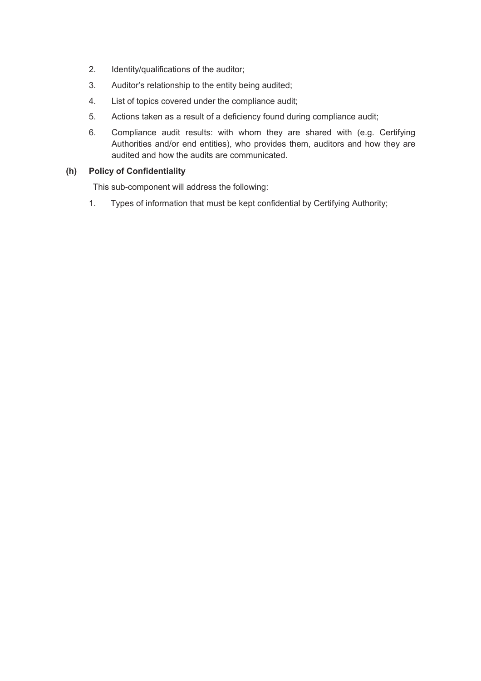- 2. Identity/qualifications of the auditor;
- 3. Auditor's relationship to the entity being audited;
- 4. List of topics covered under the compliance audit;
- 5. Actions taken as a result of a deficiency found during compliance audit;
- 6. Compliance audit results: with whom they are shared with (e.g. Certifying Authorities and/or end entities), who provides them, auditors and how they are audited and how the audits are communicated.

# **(h) Policy of Confidentiality**

This sub-component will address the following:

1. Types of information that must be kept confidential by Certifying Authority;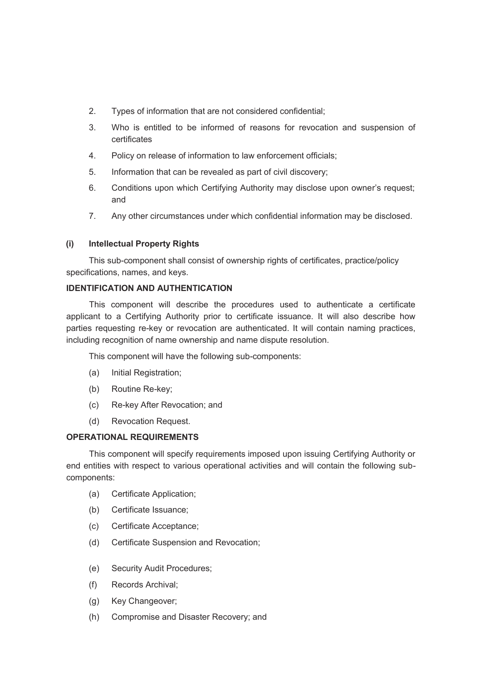- 2. Types of information that are not considered confidential;
- 3. Who is entitled to be informed of reasons for revocation and suspension of certificates
- 4. Policy on release of information to law enforcement officials;
- 5. Information that can be revealed as part of civil discovery;
- 6. Conditions upon which Certifying Authority may disclose upon owner's request; and
- 7. Any other circumstances under which confidential information may be disclosed.

# **(i) Intellectual Property Rights**

This sub-component shall consist of ownership rights of certificates, practice/policy specifications, names, and keys.

#### **IDENTIFICATION AND AUTHENTICATION**

This component will describe the procedures used to authenticate a certificate applicant to a Certifying Authority prior to certificate issuance. It will also describe how parties requesting re-key or revocation are authenticated. It will contain naming practices, including recognition of name ownership and name dispute resolution.

This component will have the following sub-components:

- (a) Initial Registration;
- (b) Routine Re-key;
- (c) Re-key After Revocation; and
- (d) Revocation Request.

#### **OPERATIONAL REQUIREMENTS**

This component will specify requirements imposed upon issuing Certifying Authority or end entities with respect to various operational activities and will contain the following subcomponents:

- (a) Certificate Application;
- (b) Certificate Issuance;
- (c) Certificate Acceptance;
- (d) Certificate Suspension and Revocation;
- (e) Security Audit Procedures;
- (f) Records Archival;
- (g) Key Changeover;
- (h) Compromise and Disaster Recovery; and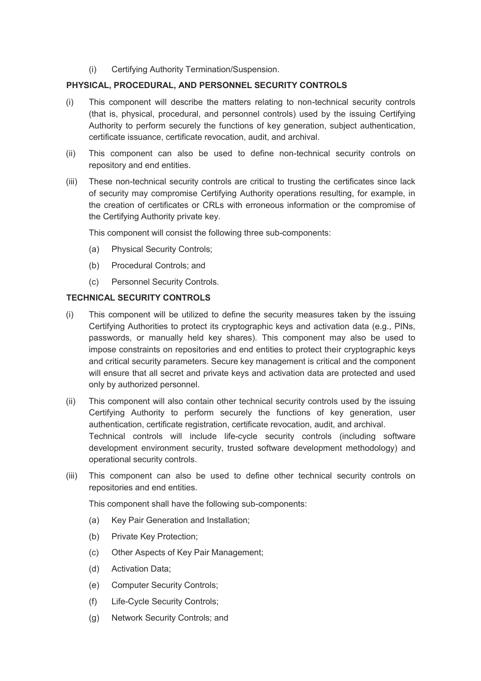(i) Certifying Authority Termination/Suspension.

# **PHYSICAL, PROCEDURAL, AND PERSONNEL SECURITY CONTROLS**

- (i) This component will describe the matters relating to non-technical security controls (that is, physical, procedural, and personnel controls) used by the issuing Certifying Authority to perform securely the functions of key generation, subject authentication, certificate issuance, certificate revocation, audit, and archival.
- (ii) This component can also be used to define non-technical security controls on repository and end entities.
- (iii) These non-technical security controls are critical to trusting the certificates since lack of security may compromise Certifying Authority operations resulting, for example, in the creation of certificates or CRLs with erroneous information or the compromise of the Certifying Authority private key.

This component will consist the following three sub-components:

- (a) Physical Security Controls;
- (b) Procedural Controls; and
- (c) Personnel Security Controls.

# **TECHNICAL SECURITY CONTROLS**

- (i) This component will be utilized to define the security measures taken by the issuing Certifying Authorities to protect its cryptographic keys and activation data (e.g., PINs, passwords, or manually held key shares). This component may also be used to impose constraints on repositories and end entities to protect their cryptographic keys and critical security parameters. Secure key management is critical and the component will ensure that all secret and private keys and activation data are protected and used only by authorized personnel.
- (ii) This component will also contain other technical security controls used by the issuing Certifying Authority to perform securely the functions of key generation, user authentication, certificate registration, certificate revocation, audit, and archival. Technical controls will include life-cycle security controls (including software development environment security, trusted software development methodology) and operational security controls.
- (iii) This component can also be used to define other technical security controls on repositories and end entities.

This component shall have the following sub-components:

- (a) Key Pair Generation and Installation;
- (b) Private Key Protection;
- (c) Other Aspects of Key Pair Management;
- (d) Activation Data;
- (e) Computer Security Controls;
- (f) Life-Cycle Security Controls;
- (g) Network Security Controls; and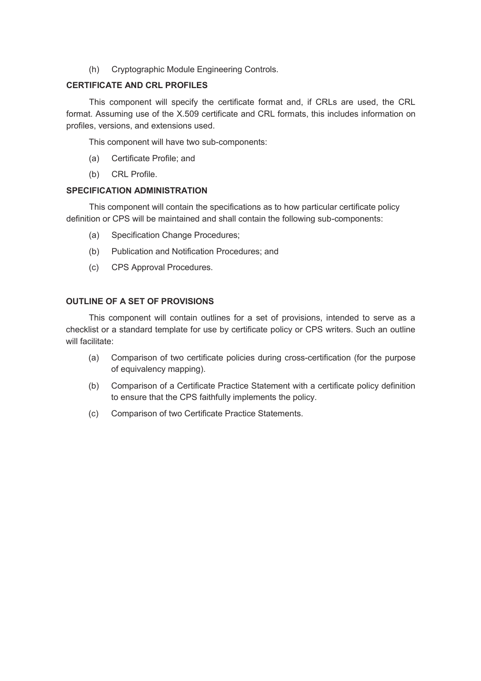(h) Cryptographic Module Engineering Controls.

# **CERTIFICATE AND CRL PROFILES**

This component will specify the certificate format and, if CRLs are used, the CRL format. Assuming use of the X.509 certificate and CRL formats, this includes information on profiles, versions, and extensions used.

This component will have two sub-components:

- (a) Certificate Profile; and
- (b) CRL Profile.

# **SPECIFICATION ADMINISTRATION**

This component will contain the specifications as to how particular certificate policy definition or CPS will be maintained and shall contain the following sub-components:

- (a) Specification Change Procedures;
- (b) Publication and Notification Procedures; and
- (c) CPS Approval Procedures.

# **OUTLINE OF A SET OF PROVISIONS**

This component will contain outlines for a set of provisions, intended to serve as a checklist or a standard template for use by certificate policy or CPS writers. Such an outline will facilitate:

- (a) Comparison of two certificate policies during cross-certification (for the purpose of equivalency mapping).
- (b) Comparison of a Certificate Practice Statement with a certificate policy definition to ensure that the CPS faithfully implements the policy.
- (c) Comparison of two Certificate Practice Statements.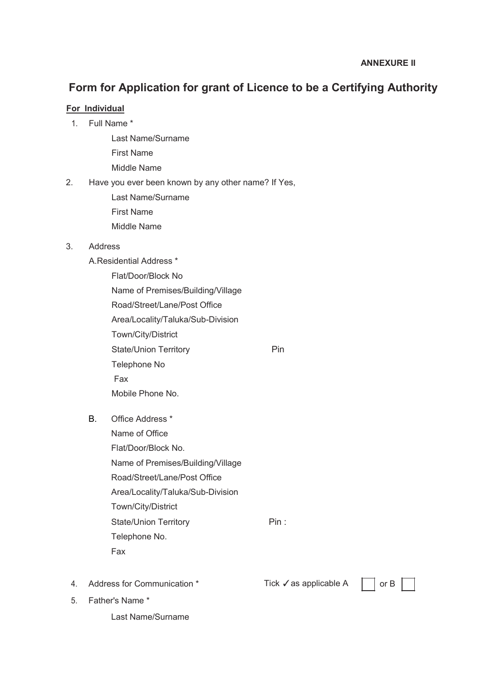# **Form for Application for grant of Licence to be a Certifying Authority**

# **For Individual**

- 1. Full Name \*
	- Last Name/Surname
	- First Name
	- Middle Name
- 2. Have you ever been known by any other name? If Yes,
	- Last Name/Surname
	- First Name
	- Middle Name

# 3. Address

A.Residential Address \*

- Flat/Door/Block No Name of Premises/Building/Village Road/Street/Lane/Post Office Area/Locality/Taluka/Sub-Division Town/City/District State/Union Territory **Pin** Telephone No Fax Mobile Phone No.
- B. Office Address \*
	- Name of Office Flat/Door/Block No. Name of Premises/Building/Village Road/Street/Lane/Post Office Area/Locality/Taluka/Sub-Division Town/City/District State/Union Territory Pin : Telephone No. Fax
- 4. Address for Communication \* Tick √as applicable A or B

5. Father's Name \*

Last Name/Surname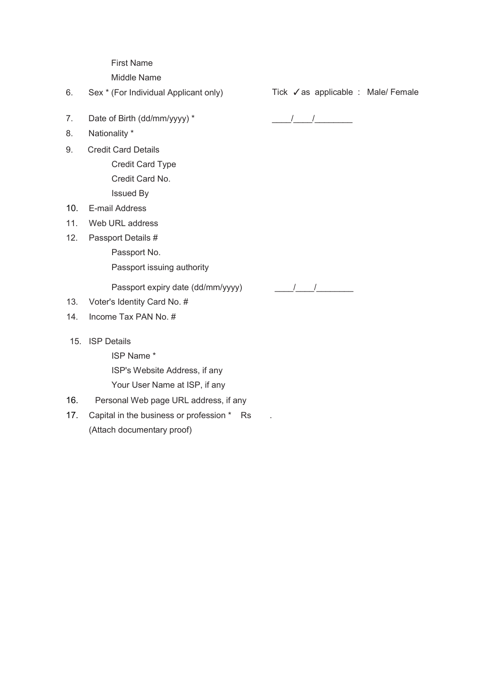First Name

Middle Name

6. Sex \* (For Individual Applicant only) Tick ✓as applicable : Male/ Female

- 7. Date of Birth (dd/mm/yyyy) \* \_\_\_\_/\_\_\_\_/\_\_\_\_\_\_\_\_
- 8. Nationality \*
- 9. Credit Card Details Credit Card Type Credit Card No. Issued By
- 10. E-mail Address
- 11. Web URL address
- 12. Passport Details #
	- Passport No.

Passport issuing authority

Passport expiry date (dd/mm/yyyy) \_\_\_\_/\_\_\_\_/\_\_\_\_\_\_\_\_

- 13. Voter's Identity Card No. #
- 14. Income Tax PAN No. #
- 15. ISP Details

ISP Name \* ISP's Website Address, if any Your User Name at ISP, if any

16. Personal Web page URL address, if any

17. Capital in the business or profession \* Rs . (Attach documentary proof)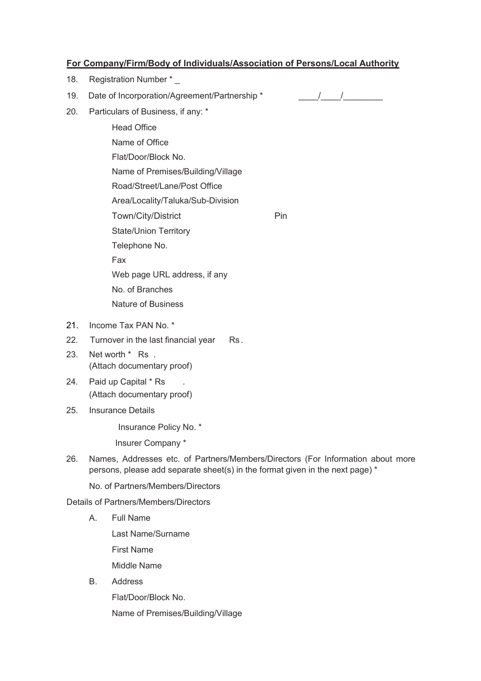# **For Company/Firm/Body of Individuals/Association of Persons/Local Authority**

- 18. Registration Number \* \_
- 19. Date of Incorporation/Agreement/Partnership \* \_\_\_\_\_\_\_/\_\_\_\_/\_\_\_\_\_\_\_\_\_\_\_\_\_\_\_\_\_

- 20. Particulars of Business, if any: \*
	- Head Office Name of Office Flat/Door/Block No. Name of Premises/Building/Village Road/Street/Lane/Post Office Area/Locality/Taluka/Sub-Division Town/City/District Pin State/Union Territory Telephone No. Fax Web page URL address, if any No. of Branches Nature of Business
- 21. Income Tax PAN No. \*
- 22. Turnover in the last financial year Rs.
- 23. Net worth \* Rs . (Attach documentary proof)
- 24. Paid up Capital \* Rs . (Attach documentary proof)
- 25. Insurance Details

Insurance Policy No. \*

Insurer Company \*

26. Names, Addresses etc. of Partners/Members/Directors (For Information about more persons, please add separate sheet(s) in the format given in the next page) \*

No. of Partners/Members/Directors

Details of Partners/Members/Directors

A. Full Name

Last Name/Surname

First Name

Middle Name

B. Address

Flat/Door/Block No.

Name of Premises/Building/Village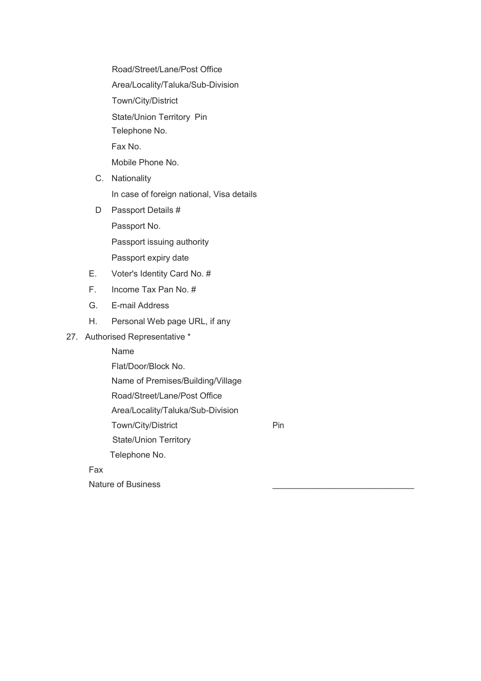Road/Street/Lane/Post Office

Area/Locality/Taluka/Sub-Division

Town/City/District

State/Union Territory Pin

Telephone No.

Fax No.

Mobile Phone No.

- C. Nationality In case of foreign national, Visa details
- D Passport Details #

Passport No.

Passport issuing authority

Passport expiry date

- E. Voter's Identity Card No. #
- F. Income Tax Pan No. #
- G. E-mail Address
- H. Personal Web page URL, if any

27. Authorised Representative \*

Name

Flat/Door/Block No.

Name of Premises/Building/Village

Road/Street/Lane/Post Office

Area/Locality/Taluka/Sub-Division

Town/City/District **Pin** 

 State/Union Territory Telephone No.

Fax

Nature of Business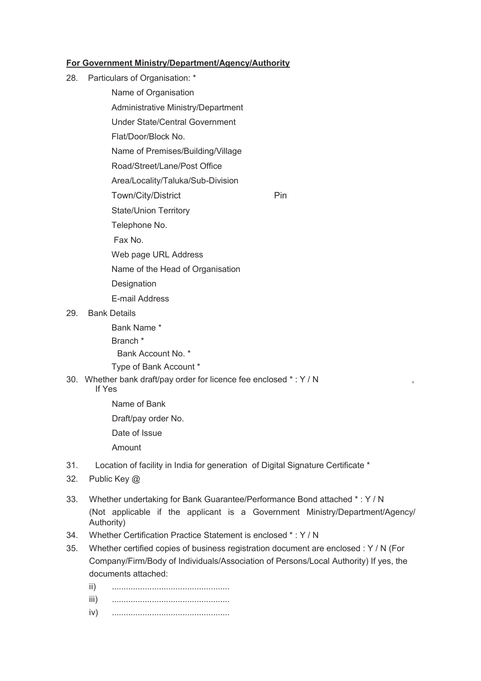# **For Government Ministry/Department/Agency/Authority**

- 28. Particulars of Organisation: \*
	- Name of Organisation
	- Administrative Ministry/Department
	- Under State/Central Government
	- Flat/Door/Block No.
	- Name of Premises/Building/Village
	- Road/Street/Lane/Post Office
	- Area/Locality/Taluka/Sub-Division
	- Town/City/District Pin
	- State/Union Territory
	- Telephone No.
	- Fax No.
	- Web page URL Address
	- Name of the Head of Organisation
	- **Designation**
	- E-mail Address
- 29. Bank Details
	- Bank Name \* Branch \*
	- Bank Account No. \*
	- Type of Bank Account \*
- 30. Whether bank draft/pay order for licence fee enclosed \* : Y / N ,
	- If Yes
		- Name of Bank
		- Draft/pay order No.
		- Date of Issue
		- Amount
- 31. Location of facility in India for generation of Digital Signature Certificate \*
- 32. Public Key @
- 33. Whether undertaking for Bank Guarantee/Performance Bond attached \* : Y / N (Not applicable if the applicant is a Government Ministry/Department/Agency/ Authority)
- 34. Whether Certification Practice Statement is enclosed \* : Y / N
- 35. Whether certified copies of business registration document are enclosed : Y / N (For Company/Firm/Body of Individuals/Association of Persons/Local Authority) If yes, the documents attached:
	- ii) .................................................. iii) .................................................. iv) ..................................................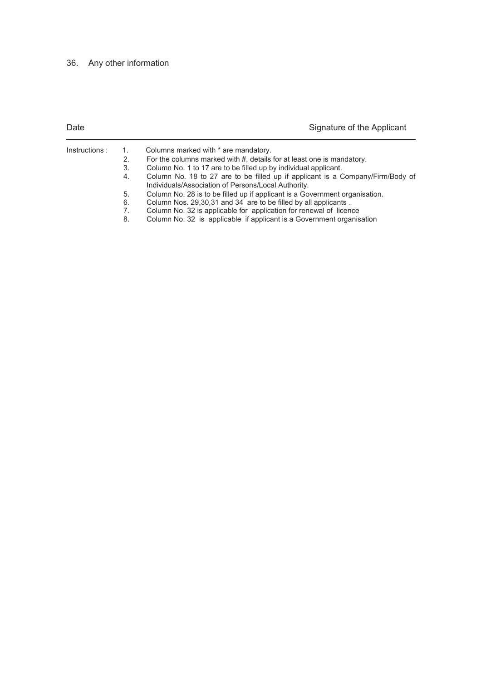# 36. Any other information

| Date           |                | Signature of the Applicant                                                                                                            |
|----------------|----------------|---------------------------------------------------------------------------------------------------------------------------------------|
| Instructions : | $\mathbf{1}$ . | Columns marked with * are mandatory.                                                                                                  |
|                | 2.             | For the columns marked with #, details for at least one is mandatory.                                                                 |
|                | 3.             | Column No. 1 to 17 are to be filled up by individual applicant.                                                                       |
|                | 4.             | Column No. 18 to 27 are to be filled up if applicant is a Company/Firm/Body of<br>Individuals/Association of Persons/Local Authority. |
|                |                |                                                                                                                                       |

- 5. Column No. 28 is to be filled up if applicant is a Government organisation.
- 6. Column Nos. 29,30,31 and 34 are to be filled by all applicants .
- 7. Column No. 32 is applicable for application for renewal of licence
- 8. Column No. 32 is applicable if applicant is a Government organisation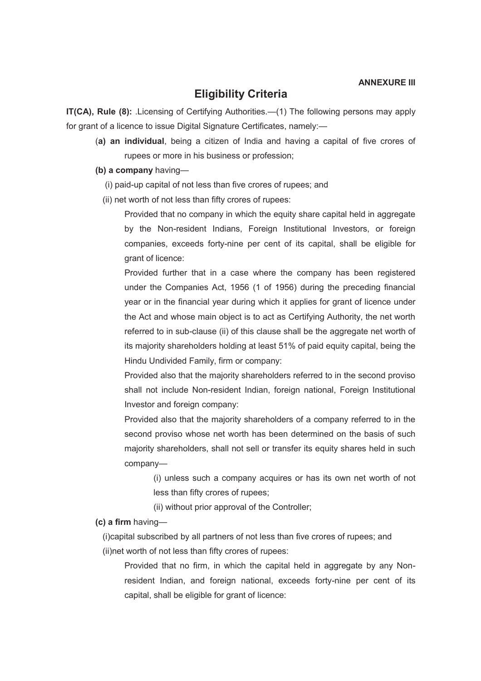# **Eligibility Criteria**

**IT(CA), Rule (8):** .Licensing of Certifying Authorities.—(1) The following persons may apply for grant of a licence to issue Digital Signature Certificates, namely:—

(**a) an individual**, being a citizen of India and having a capital of five crores of rupees or more in his business or profession;

**(b) a company** having—

- (i) paid-up capital of not less than five crores of rupees; and
- (ii) net worth of not less than fifty crores of rupees:

Provided that no company in which the equity share capital held in aggregate by the Non-resident Indians, Foreign Institutional Investors, or foreign companies, exceeds forty-nine per cent of its capital, shall be eligible for grant of licence:

Provided further that in a case where the company has been registered under the Companies Act, 1956 (1 of 1956) during the preceding financial year or in the financial year during which it applies for grant of licence under the Act and whose main object is to act as Certifying Authority, the net worth referred to in sub-clause (ii) of this clause shall be the aggregate net worth of its majority shareholders holding at least 51% of paid equity capital, being the Hindu Undivided Family, firm or company:

Provided also that the majority shareholders referred to in the second proviso shall not include Non-resident Indian, foreign national, Foreign Institutional Investor and foreign company:

Provided also that the majority shareholders of a company referred to in the second proviso whose net worth has been determined on the basis of such majority shareholders, shall not sell or transfer its equity shares held in such company—

(i) unless such a company acquires or has its own net worth of not less than fifty crores of rupees;

(ii) without prior approval of the Controller;

**(c) a firm** having—

(i)capital subscribed by all partners of not less than five crores of rupees; and (ii)net worth of not less than fifty crores of rupees:

Provided that no firm, in which the capital held in aggregate by any Nonresident Indian, and foreign national, exceeds forty-nine per cent of its capital, shall be eligible for grant of licence: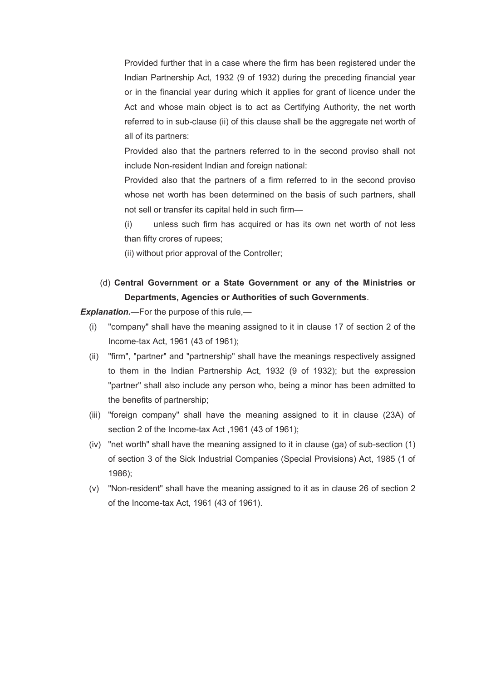Provided further that in a case where the firm has been registered under the Indian Partnership Act, 1932 (9 of 1932) during the preceding financial year or in the financial year during which it applies for grant of licence under the Act and whose main object is to act as Certifying Authority, the net worth referred to in sub-clause (ii) of this clause shall be the aggregate net worth of all of its partners:

Provided also that the partners referred to in the second proviso shall not include Non-resident Indian and foreign national:

Provided also that the partners of a firm referred to in the second proviso whose net worth has been determined on the basis of such partners, shall not sell or transfer its capital held in such firm—

(i) unless such firm has acquired or has its own net worth of not less than fifty crores of rupees;

(ii) without prior approval of the Controller;

# (d) **Central Government or a State Government or any of the Ministries or Departments, Agencies or Authorities of such Governments**.

*Explanation.*—For the purpose of this rule,—

- (i) "company" shall have the meaning assigned to it in clause 17 of section 2 of the Income-tax Act, 1961 (43 of 1961);
- (ii) "firm", "partner" and "partnership" shall have the meanings respectively assigned to them in the Indian Partnership Act, 1932 (9 of 1932); but the expression "partner" shall also include any person who, being a minor has been admitted to the benefits of partnership;
- (iii) "foreign company" shall have the meaning assigned to it in clause (23A) of section 2 of the Income-tax Act ,1961 (43 of 1961);
- (iv) "net worth" shall have the meaning assigned to it in clause (ga) of sub-section (1) of section 3 of the Sick Industrial Companies (Special Provisions) Act, 1985 (1 of 1986);
- (v) "Non-resident" shall have the meaning assigned to it as in clause 26 of section 2 of the Income-tax Act, 1961 (43 of 1961).